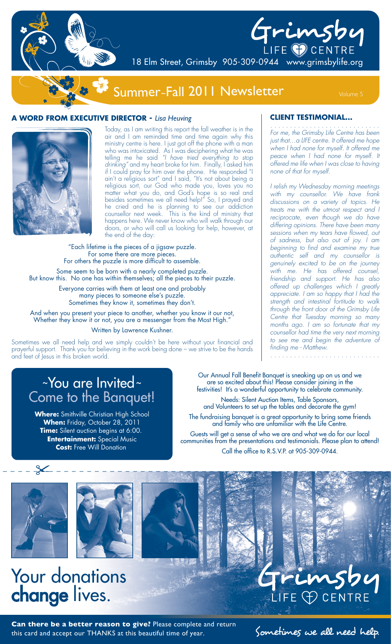

# Grimsby 18 Elm Street, Grimsby 905-309-0944 www.grimsbylife.org

## Summer~Fall 2011 Newsletter Volume 5

### **A WORD FROM EXECUTIVE DIRECTOR -** *Lisa Heuving*



Today, as I am writing this report the fall weather is in the air and I am reminded time and time again why this ministry centre is here. I just got off the phone with  $\alpha$  man who was intoxicated. As I was deciphering what he was telling me he said *"I have tried everything to stop drinking"* and my heart broke for him. Finally, I asked him if I could pray for him over the phone. He responded "I ain't a religious sort" and I said, "It's not about being a religious sort, our God who made you, loves you no matter what you do, and God's hope is so real and besides sometimes we all need help!" So, I prayed and he cried and he is planning to see our addiction counsellor next week. This is the kind of ministry that happens here. We never know who will walk through our doors, or who will call us looking for help, however, at the end of the day:

"Each lifetime is the pieces of a jigsaw puzzle. For some there are more pieces. For others the puzzle is more difficult to assemble. Some seem to be born with a nearly completed puzzle.

But know this. No one has within themselves; all the pieces to their puzzle.

Everyone carries with them at least one and probably many pieces to someone else's puzzle. Sometimes they know it, sometimes they don't.

And when you present your piece to another, whether you know it our not, Whether they know it or not, you are a messenger from the Most High.'

#### Written by Lawrence Kushner.

Sometimes we all need help and we simply couldn't be here without your financial and prayerful support. Thank you for believing in the work being done – we strive to be the hands and feet of Jesus in this broken world.

### **CLIENT TESTIMONIAL...**

. . . . . . . . . . . . . . . . . . . . . . . . . . . . *For me, the Grimsby Life Centre has been just that…a LIFE centre. It offered me hope when I had none for myself. It offered me peace when I had none for myself. It offered me life when I was close to having none of that for myself.*

*I relish my Wednesday morning meetings with my counsellor. We have frank discussions on a variety of topics. He treats me with the utmost respect and I reciprocate, even though we do have differing opinions. There have been many sessions when my tears have flowed, out of sadness, but also out of joy. I am beginning to find and examine my true authentic self and my counsellor is genuinely excited to be on the journey with me. He has offered counsel, friendship and support. He has also offered up challenges which I greatly appreciate. I am so happy that I had the strength and intestinal fortitude to walk through the front door of the Grimsby Life Centre that Tuesday morning so many months ago. I am so fortunate that my counsellor had time the very next morning to see me and begin the adventure of finding me - Matthew.*

. . . . . . . . . . . . . . . . . . . . . . . . . . . .

### ~You are Invited <sup>~</sup> Come to the Banquet!

**Where:** Smithville Christian High School **When:** Friday, October 28, 2011 **Time:** Silent auction begins at 6:00. **Entertainment:** Special Music **Cost:** Free Will Donation

Our Annual Fall Benefit Banquet is sneaking up on us and we are so excited about this! Please consider joining in the festivities! It's a wonderful opportunity to celebrate community.

Needs: Silent Auction Items, Table Sponsors, and Volunteers to set up the tables and decorate the gym!

The fundraising banquet is a great opportunity to bring some friends and family who are unfamiliar with the Life Centre.

Guests will get a sense of who we are and what we do for our local communities from the presentations and testimonials. Please plan to attend! Call the office to R.S.V.P. at 905-309-0944.



 $\swarrow$ 



## Your donations change lives.

Can there be a better reason to give? Please complete and return<br>this card and accept our THANKS at this bea<u>utiful time of year.</u> Sometimes we all need help. this card and accept our THANKS at this beautiful time of year.

LIFE **P** CENTRE

imsbu